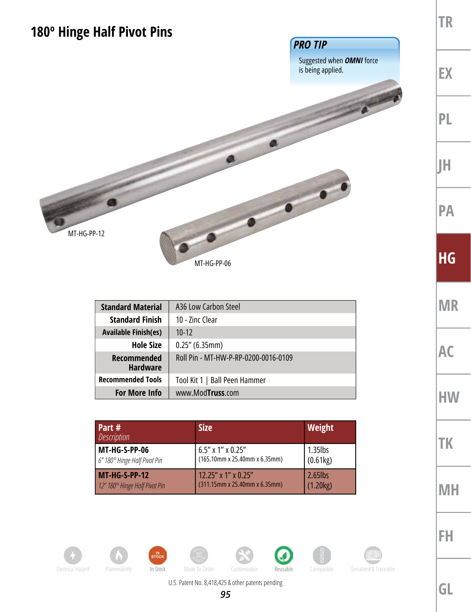